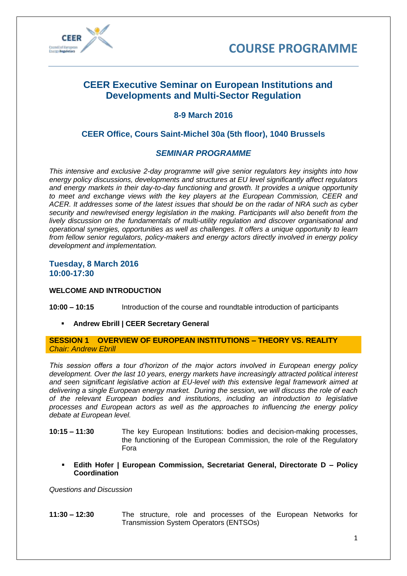



# **CEER Executive Seminar on European Institutions and Developments and Multi-Sector Regulation**

# **8-9 March 2016**

# **CEER Office, Cours Saint-Michel 30a (5th floor), 1040 Brussels**

# *SEMINAR PROGRAMME*

*This intensive and exclusive 2-day programme will give senior regulators key insights into how energy policy discussions, developments and structures at EU level significantly affect regulators and energy markets in their day-to-day functioning and growth. It provides a unique opportunity to meet and exchange views with the key players at the European Commission, CEER and ACER. It addresses some of the latest issues that should be on the radar of NRA such as cyber security and new/revised energy legislation in the making. Participants will also benefit from the lively discussion on the fundamentals of multi-utility regulation and discover organisational and operational synergies, opportunities as well as challenges. It offers a unique opportunity to learn from fellow senior regulators, policy-makers and energy actors directly involved in energy policy development and implementation.*

### **Tuesday, 8 March 2016 10:00-17:30**

### **WELCOME AND INTRODUCTION**

**10:00 – 10:15** Introduction of the course and roundtable introduction of participants

**Andrew Ebrill | CEER Secretary General**

### **SESSION 1 OVERVIEW OF EUROPEAN INSTITUTIONS – THEORY VS. REALITY** *Chair: Andrew Ebrill*

*This session offers a tour d'horizon of the major actors involved in European energy policy development. Over the last 10 years, energy markets have increasingly attracted political interest and seen significant legislative action at EU-level with this extensive legal framework aimed at delivering a single European energy market. During the session, we will discuss the role of each of the relevant European bodies and institutions, including an introduction to legislative processes and European actors as well as the approaches to influencing the energy policy debate at European level.*

- **10:15 – 11:30** The key European Institutions: bodies and decision-making processes, the functioning of the European Commission, the role of the Regulatory Fora
	- **Edith Hofer | European Commission, Secretariat General, Directorate D – Policy Coordination**

*Questions and Discussion*

**11:30 – 12:30** The structure, role and processes of the European Networks for Transmission System Operators (ENTSOs)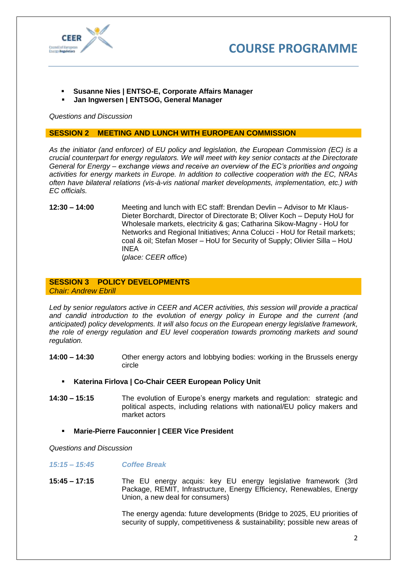



- **Susanne Nies | ENTSO-E, Corporate Affairs Manager**
- **Jan Ingwersen | ENTSOG, General Manager**

*Questions and Discussion*

#### **SESSION 2 MEETING AND LUNCH WITH EUROPEAN COMMISSION**

*As the initiator (and enforcer) of EU policy and legislation, the European Commission (EC) is a crucial counterpart for energy regulators. We will meet with key senior contacts at the Directorate General for Energy – exchange views and receive an overview of the EC's priorities and ongoing activities for energy markets in Europe. In addition to collective cooperation with the EC, NRAs often have bilateral relations (vis-à-vis national market developments, implementation, etc.) with EC officials.*

**12:30 – 14:00** Meeting and lunch with EC staff: Brendan Devlin – Advisor to Mr Klaus-Dieter Borchardt, Director of Directorate B; Oliver Koch – Deputy HoU for Wholesale markets, electricity & gas; Catharina Sikow-Magny - HoU for Networks and Regional Initiatives; Anna Colucci - HoU for Retail markets; coal & oil; Stefan Moser – HoU for Security of Supply; Olivier Silla – HoU INEA (*place: CEER office*)

#### **SESSION 3 POLICY DEVELOPMENTS** *Chair: Andrew Ebrill*

Led by senior regulators active in CEER and ACER activities, this session will provide a practical *and candid introduction to the evolution of energy policy in Europe and the current (and anticipated) policy developments. It will also focus on the European energy legislative framework, the role of energy regulation and EU level cooperation towards promoting markets and sound regulation.*

- **14:00 – 14:30** Other energy actors and lobbying bodies: working in the Brussels energy circle
	- **Katerina Firlova | Co-Chair CEER European Policy Unit**
- **14:30 – 15:15** The evolution of Europe's energy markets and regulation: strategic and political aspects, including relations with national/EU policy makers and market actors

#### **Marie-Pierre Fauconnier | CEER Vice President**

*Questions and Discussion*

- *15:15 – 15:45 Coffee Break*
- **15:45 – 17:15** The EU energy acquis: key EU energy legislative framework (3rd Package, REMIT, Infrastructure, Energy Efficiency, Renewables, Energy Union, a new deal for consumers)

The energy agenda: future developments (Bridge to 2025, EU priorities of security of supply, competitiveness & sustainability; possible new areas of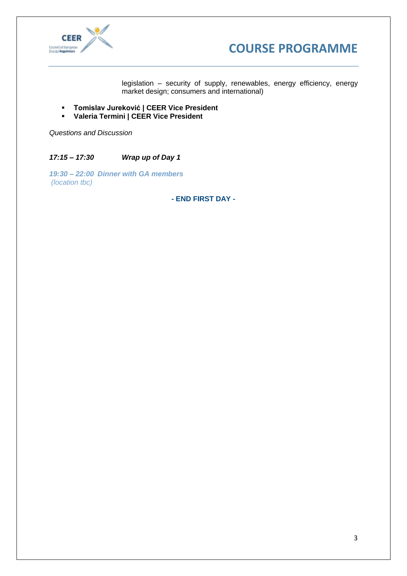



legislation – security of supply, renewables, energy efficiency, energy market design; consumers and international)

- **Tomislav Jureković | CEER Vice President**
- **Valeria Termini | CEER Vice President**

*Questions and Discussion*

*17:15 – 17:30 Wrap up of Day 1*

*19:30 – 22:00 Dinner with GA members (location tbc)*

**- END FIRST DAY -**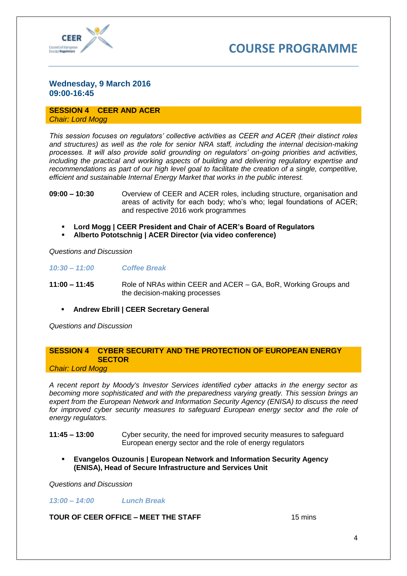



### **Wednesday, 9 March 2016 09:00-16:45**

#### **SESSION 4 CEER AND ACER** *Chair: Lord Mogg*

*This session focuses on regulators' collective activities as CEER and ACER (their distinct roles and structures) as well as the role for senior NRA staff, including the internal decision-making processes. It will also provide solid grounding on regulators' on-going priorities and activities, including the practical and working aspects of building and delivering regulatory expertise and recommendations as part of our high level goal to facilitate the creation of a single, competitive, efficient and sustainable Internal Energy Market that works in the public interest.*

- **09:00 – 10:30** Overview of CEER and ACER roles, including structure, organisation and areas of activity for each body; who's who; legal foundations of ACER; and respective 2016 work programmes
	- **Lord Mogg | CEER President and Chair of ACER's Board of Regulators**
	- **Alberto Pototschnig | ACER Director (via video conference)**

*Questions and Discussion*

- *10:30 – 11:00 Coffee Break*
- **11:00 – 11:45** Role of NRAs within CEER and ACER GA, BoR, Working Groups and the decision-making processes
	- **Andrew Ebrill | CEER Secretary General**

*Questions and Discussion*

#### **SESSION 4 CYBER SECURITY AND THE PROTECTION OF EUROPEAN ENERGY SECTOR** *Chair: Lord Mogg*

*A recent report by Moody's Investor Services identified cyber attacks in the energy sector as becoming more sophisticated and with the preparedness varying greatly. This session brings an expert from the European Network and Information Security Agency (ENISA) to discuss the need for improved cyber security measures to safeguard European energy sector and the role of energy regulators.* 

- **11:45 – 13:00** Cyber security, the need for improved security measures to safeguard European energy sector and the role of energy regulators
	- **Evangelos Ouzounis | European Network and Information Security Agency (ENISA), Head of Secure Infrastructure and Services Unit**

*Questions and Discussion*

*13:00 – 14:00 Lunch Break*

#### **TOUR OF CEER OFFICE – MEET THE STAFF** 15 mins